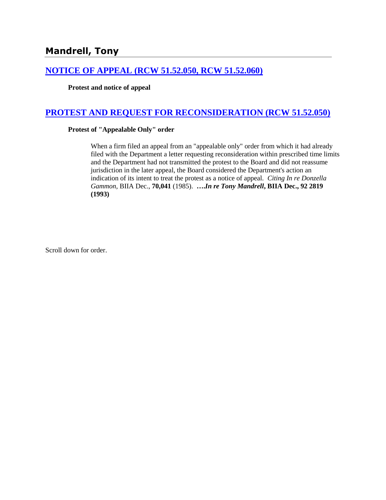# **[NOTICE OF APPEAL \(RCW 51.52.050, RCW 51.52.060\)](http://www.biia.wa.gov/SDSubjectIndex.html#NOTICE_OF_APPEAL)**

### **Protest and notice of appeal**

### **[PROTEST AND REQUEST FOR RECONSIDERATION \(RCW 51.52.050\)](http://www.biia.wa.gov/SDSubjectIndex.html#PROTEST_AND_REQUEST_FOR_RECONSIDERATION)**

### **Protest of "Appealable Only" order**

When a firm filed an appeal from an "appealable only" order from which it had already filed with the Department a letter requesting reconsideration within prescribed time limits and the Department had not transmitted the protest to the Board and did not reassume jurisdiction in the later appeal, the Board considered the Department's action an indication of its intent to treat the protest as a notice of appeal. *Citing In re Donzella Gammon*, BIIA Dec., **70,041** (1985). **….***In re Tony Mandrell***, BIIA Dec., 92 2819 (1993)**

Scroll down for order.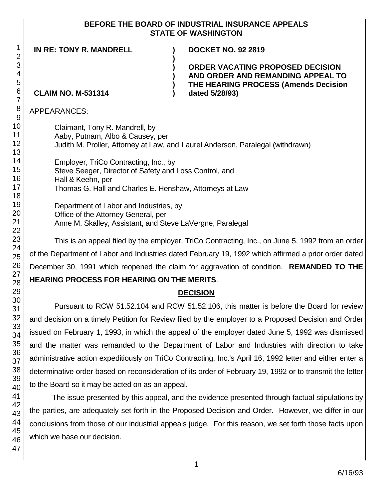### **BEFORE THE BOARD OF INDUSTRIAL INSURANCE APPEALS STATE OF WASHINGTON**

**IN RE: TONY R. MANDRELL ) DOCKET NO. 92 2819**

**ORDER VACATING PROPOSED DECISION AND ORDER AND REMANDING APPEAL TO THE HEARING PROCESS (Amends Decision** 

# **CLAIM NO. M-531314 ) dated 5/28/93)**

APPEARANCES:

Claimant, Tony R. Mandrell, by Aaby, Putnam, Albo & Causey, per Judith M. Proller, Attorney at Law, and Laurel Anderson, Paralegal (withdrawn)

**) ) ) )**

Employer, TriCo Contracting, Inc., by Steve Seeger, Director of Safety and Loss Control, and Hall & Keehn, per Thomas G. Hall and Charles E. Henshaw, Attorneys at Law

Department of Labor and Industries, by Office of the Attorney General, per Anne M. Skalley, Assistant, and Steve LaVergne, Paralegal

This is an appeal filed by the employer, TriCo Contracting, Inc., on June 5, 1992 from an order of the Department of Labor and Industries dated February 19, 1992 which affirmed a prior order dated December 30, 1991 which reopened the claim for aggravation of condition. **REMANDED TO THE** 

# **HEARING PROCESS FOR HEARING ON THE MERITS**.

# **DECISION**

Pursuant to RCW 51.52.104 and RCW 51.52.106, this matter is before the Board for review and decision on a timely Petition for Review filed by the employer to a Proposed Decision and Order issued on February 1, 1993, in which the appeal of the employer dated June 5, 1992 was dismissed and the matter was remanded to the Department of Labor and Industries with direction to take administrative action expeditiously on TriCo Contracting, Inc.'s April 16, 1992 letter and either enter a determinative order based on reconsideration of its order of February 19, 1992 or to transmit the letter to the Board so it may be acted on as an appeal.

The issue presented by this appeal, and the evidence presented through factual stipulations by the parties, are adequately set forth in the Proposed Decision and Order. However, we differ in our conclusions from those of our industrial appeals judge. For this reason, we set forth those facts upon which we base our decision.

1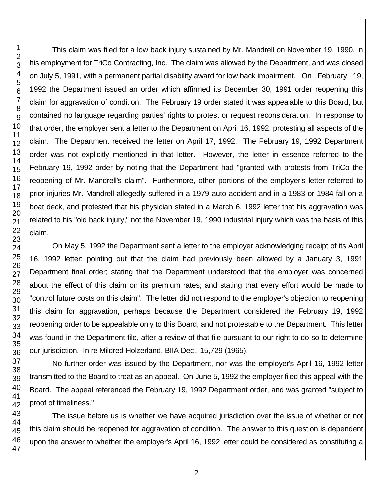This claim was filed for a low back injury sustained by Mr. Mandrell on November 19, 1990, in his employment for TriCo Contracting, Inc. The claim was allowed by the Department, and was closed on July 5, 1991, with a permanent partial disability award for low back impairment. On February 19, 1992 the Department issued an order which affirmed its December 30, 1991 order reopening this claim for aggravation of condition. The February 19 order stated it was appealable to this Board, but contained no language regarding parties' rights to protest or request reconsideration. In response to that order, the employer sent a letter to the Department on April 16, 1992, protesting all aspects of the claim. The Department received the letter on April 17, 1992. The February 19, 1992 Department order was not explicitly mentioned in that letter. However, the letter in essence referred to the February 19, 1992 order by noting that the Department had "granted with protests from TriCo the reopening of Mr. Mandrell's claim". Furthermore, other portions of the employer's letter referred to prior injuries Mr. Mandrell allegedly suffered in a 1979 auto accident and in a 1983 or 1984 fall on a boat deck, and protested that his physician stated in a March 6, 1992 letter that his aggravation was related to his "old back injury," not the November 19, 1990 industrial injury which was the basis of this claim.

On May 5, 1992 the Department sent a letter to the employer acknowledging receipt of its April 16, 1992 letter; pointing out that the claim had previously been allowed by a January 3, 1991 Department final order; stating that the Department understood that the employer was concerned about the effect of this claim on its premium rates; and stating that every effort would be made to "control future costs on this claim". The letter did not respond to the employer's objection to reopening this claim for aggravation, perhaps because the Department considered the February 19, 1992 reopening order to be appealable only to this Board, and not protestable to the Department. This letter was found in the Department file, after a review of that file pursuant to our right to do so to determine our jurisdiction. In re Mildred Holzerland, BIIA Dec., 15,729 (1965).

No further order was issued by the Department, nor was the employer's April 16, 1992 letter transmitted to the Board to treat as an appeal. On June 5, 1992 the employer filed this appeal with the Board. The appeal referenced the February 19, 1992 Department order, and was granted "subject to proof of timeliness."

The issue before us is whether we have acquired jurisdiction over the issue of whether or not this claim should be reopened for aggravation of condition. The answer to this question is dependent upon the answer to whether the employer's April 16, 1992 letter could be considered as constituting a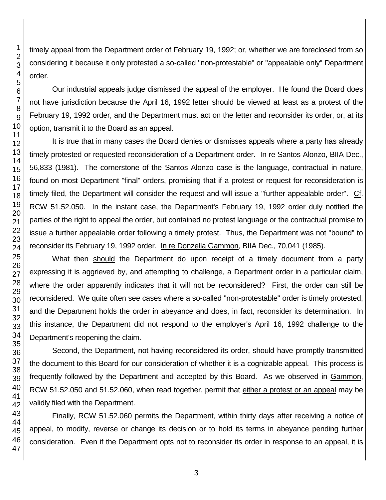timely appeal from the Department order of February 19, 1992; or, whether we are foreclosed from so considering it because it only protested a so-called "non-protestable" or "appealable only" Department order.

Our industrial appeals judge dismissed the appeal of the employer. He found the Board does not have jurisdiction because the April 16, 1992 letter should be viewed at least as a protest of the February 19, 1992 order, and the Department must act on the letter and reconsider its order, or, at its option, transmit it to the Board as an appeal.

It is true that in many cases the Board denies or dismisses appeals where a party has already timely protested or requested reconsideration of a Department order. In re Santos Alonzo, BIIA Dec., 56,833 (1981). The cornerstone of the Santos Alonzo case is the language, contractual in nature, found on most Department "final" orders, promising that if a protest or request for reconsideration is timely filed, the Department will consider the request and will issue a "further appealable order". Cf. RCW 51.52.050. In the instant case, the Department's February 19, 1992 order duly notified the parties of the right to appeal the order, but contained no protest language or the contractual promise to issue a further appealable order following a timely protest. Thus, the Department was not "bound" to reconsider its February 19, 1992 order. In re Donzella Gammon, BIIA Dec., 70,041 (1985).

What then should the Department do upon receipt of a timely document from a party expressing it is aggrieved by, and attempting to challenge, a Department order in a particular claim, where the order apparently indicates that it will not be reconsidered? First, the order can still be reconsidered. We quite often see cases where a so-called "non-protestable" order is timely protested, and the Department holds the order in abeyance and does, in fact, reconsider its determination. In this instance, the Department did not respond to the employer's April 16, 1992 challenge to the Department's reopening the claim.

Second, the Department, not having reconsidered its order, should have promptly transmitted the document to this Board for our consideration of whether it is a cognizable appeal. This process is frequently followed by the Department and accepted by this Board. As we observed in Gammon, RCW 51.52.050 and 51.52.060, when read together, permit that either a protest or an appeal may be validly filed with the Department.

Finally, RCW 51.52.060 permits the Department, within thirty days after receiving a notice of appeal, to modify, reverse or change its decision or to hold its terms in abeyance pending further consideration. Even if the Department opts not to reconsider its order in response to an appeal, it is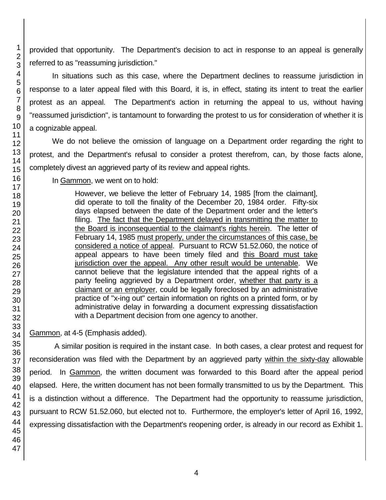provided that opportunity. The Department's decision to act in response to an appeal is generally referred to as "reassuming jurisdiction."

In situations such as this case, where the Department declines to reassume jurisdiction in response to a later appeal filed with this Board, it is, in effect, stating its intent to treat the earlier protest as an appeal. The Department's action in returning the appeal to us, without having "reassumed jurisdiction", is tantamount to forwarding the protest to us for consideration of whether it is a cognizable appeal.

We do not believe the omission of language on a Department order regarding the right to protest, and the Department's refusal to consider a protest therefrom, can, by those facts alone, completely divest an aggrieved party of its review and appeal rights.

In Gammon, we went on to hold:

However, we believe the letter of February 14, 1985 [from the claimant], did operate to toll the finality of the December 20, 1984 order. Fifty-six days elapsed between the date of the Department order and the letter's filing. The fact that the Department delayed in transmitting the matter to the Board is inconsequential to the claimant's rights herein. The letter of February 14, 1985 must properly, under the circumstances of this case, be considered a notice of appeal. Pursuant to RCW 51.52.060, the notice of appeal appears to have been timely filed and this Board must take jurisdiction over the appeal. Any other result would be untenable. We cannot believe that the legislature intended that the appeal rights of a party feeling aggrieved by a Department order, whether that party is a claimant or an employer, could be legally foreclosed by an administrative practice of "x-ing out" certain information on rights on a printed form, or by administrative delay in forwarding a document expressing dissatisfaction with a Department decision from one agency to another.

Gammon, at 4-5 (Emphasis added).

A similar position is required in the instant case. In both cases, a clear protest and request for reconsideration was filed with the Department by an aggrieved party within the sixty-day allowable period. In Gammon, the written document was forwarded to this Board after the appeal period elapsed. Here, the written document has not been formally transmitted to us by the Department. This is a distinction without a difference. The Department had the opportunity to reassume jurisdiction, pursuant to RCW 51.52.060, but elected not to. Furthermore, the employer's letter of April 16, 1992, expressing dissatisfaction with the Department's reopening order, is already in our record as Exhibit 1.